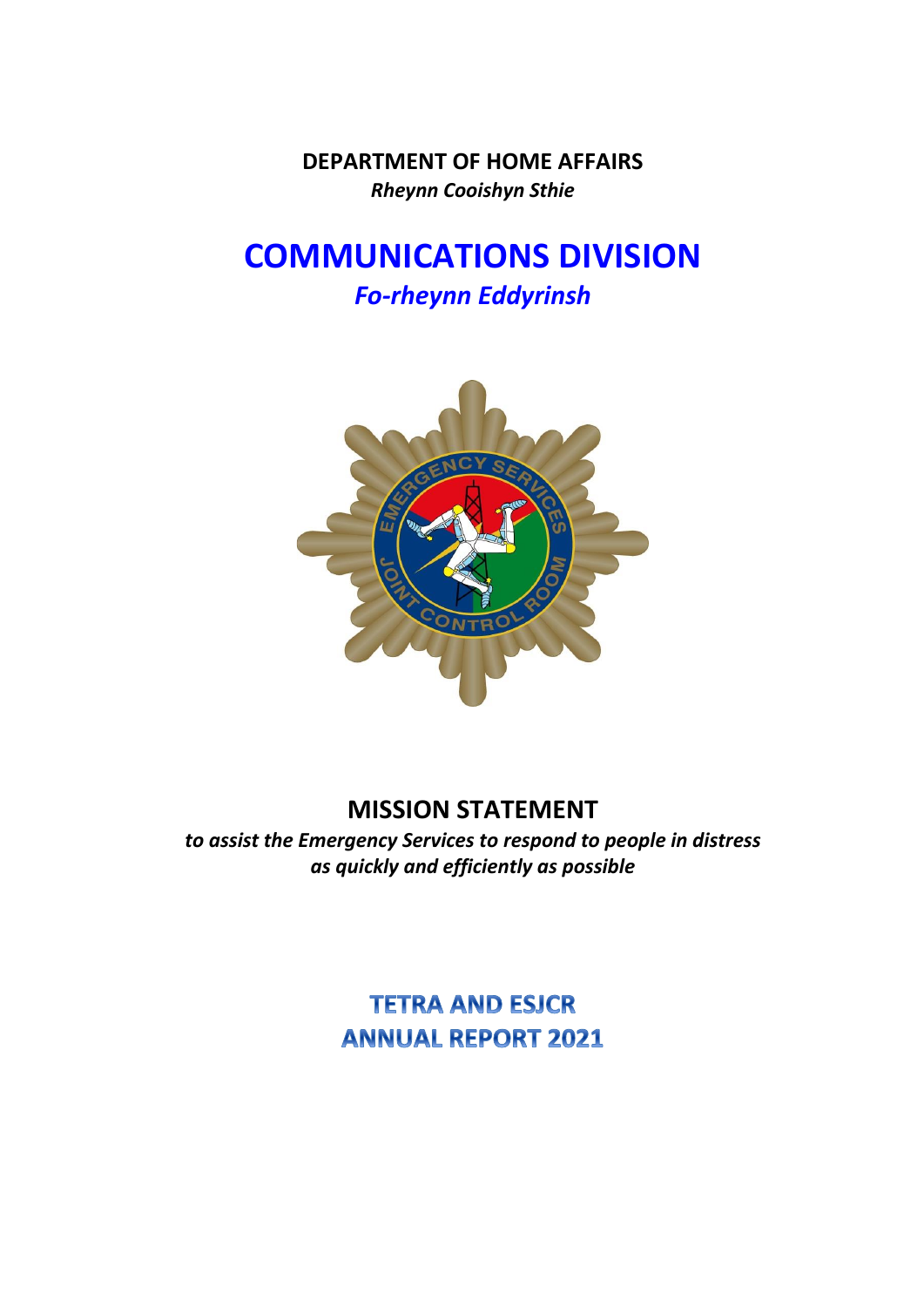**DEPARTMENT OF HOME AFFAIRS** *Rheynn Cooishyn Sthie*

## **COMMUNICATIONS DIVISION** *Fo-rheynn Eddyrinsh*



## **MISSION STATEMENT**

*to assist the Emergency Services to respond to people in distress as quickly and efficiently as possible*

> **TETRA AND ESICR ANNUAL REPORT 2021**